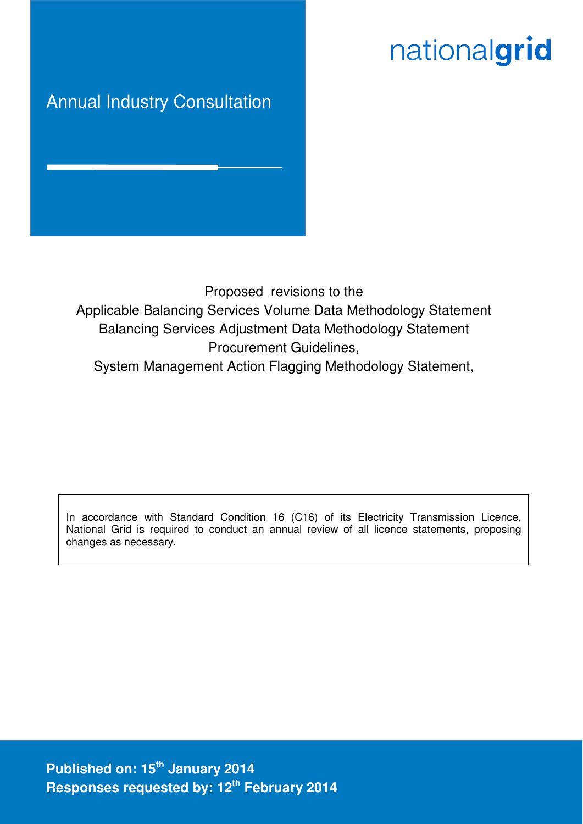# nationalgrid

# Annual Industry Consultation

Proposed revisions to the Applicable Balancing Services Volume Data Methodology Statement Balancing Services Adjustment Data Methodology Statement Procurement Guidelines, System Management Action Flagging Methodology Statement,

In accordance with Standard Condition 16 (C16) of its Electricity Transmission Licence, National Grid is required to conduct an annual review of all licence statements, proposing changes as necessary.

**Published on: 15th January 2014 Responses requested by: 12th February 2014**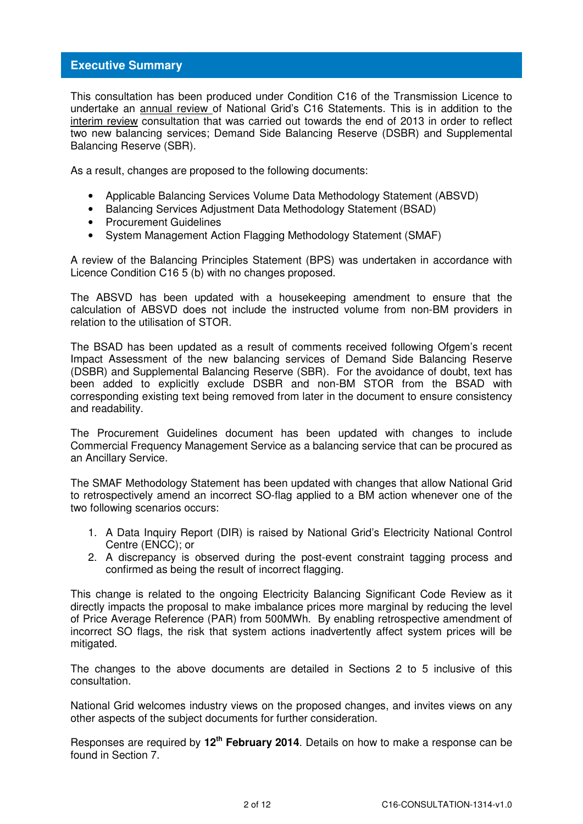# **Executive Summary**

This consultation has been produced under Condition C16 of the Transmission Licence to undertake an annual review of National Grid's C16 Statements. This is in addition to the interim review consultation that was carried out towards the end of 2013 in order to reflect two new balancing services; Demand Side Balancing Reserve (DSBR) and Supplemental Balancing Reserve (SBR).

As a result, changes are proposed to the following documents:

- Applicable Balancing Services Volume Data Methodology Statement (ABSVD)
- Balancing Services Adjustment Data Methodology Statement (BSAD)
- Procurement Guidelines
- System Management Action Flagging Methodology Statement (SMAF)

A review of the Balancing Principles Statement (BPS) was undertaken in accordance with Licence Condition C16 5 (b) with no changes proposed.

The ABSVD has been updated with a housekeeping amendment to ensure that the calculation of ABSVD does not include the instructed volume from non-BM providers in relation to the utilisation of STOR.

The BSAD has been updated as a result of comments received following Ofgem's recent Impact Assessment of the new balancing services of Demand Side Balancing Reserve (DSBR) and Supplemental Balancing Reserve (SBR). For the avoidance of doubt, text has been added to explicitly exclude DSBR and non-BM STOR from the BSAD with corresponding existing text being removed from later in the document to ensure consistency and readability.

The Procurement Guidelines document has been updated with changes to include Commercial Frequency Management Service as a balancing service that can be procured as an Ancillary Service.

The SMAF Methodology Statement has been updated with changes that allow National Grid to retrospectively amend an incorrect SO-flag applied to a BM action whenever one of the two following scenarios occurs:

- 1. A Data Inquiry Report (DIR) is raised by National Grid's Electricity National Control Centre (ENCC); or
- 2. A discrepancy is observed during the post-event constraint tagging process and confirmed as being the result of incorrect flagging.

This change is related to the ongoing Electricity Balancing Significant Code Review as it directly impacts the proposal to make imbalance prices more marginal by reducing the level of Price Average Reference (PAR) from 500MWh. By enabling retrospective amendment of incorrect SO flags, the risk that system actions inadvertently affect system prices will be mitigated.

The changes to the above documents are detailed in Sections 2 to 5 inclusive of this consultation.

National Grid welcomes industry views on the proposed changes, and invites views on any other aspects of the subject documents for further consideration.

Responses are required by **12th February 2014**. Details on how to make a response can be found in Section 7.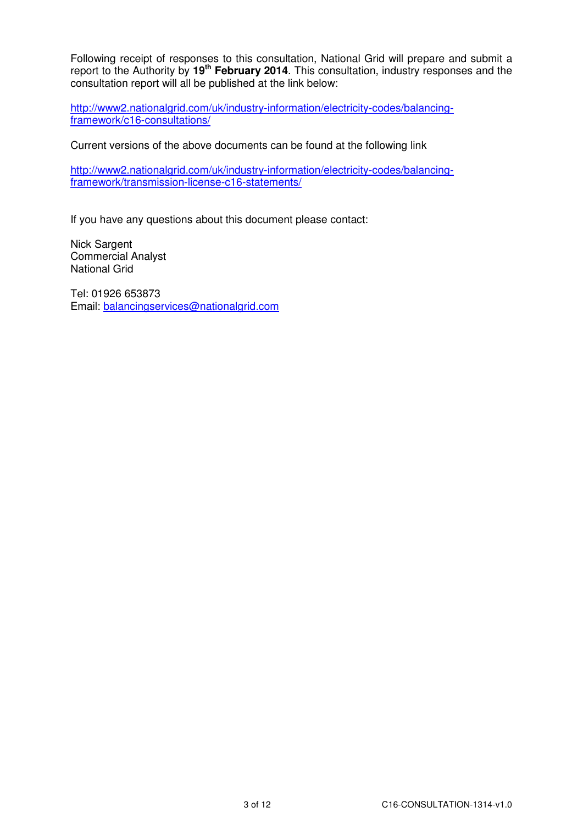Following receipt of responses to this consultation, National Grid will prepare and submit a report to the Authority by **19th February 2014**. This consultation, industry responses and the consultation report will all be published at the link below:

http://www2.nationalgrid.com/uk/industry-information/electricity-codes/balancingframework/c16-consultations/

Current versions of the above documents can be found at the following link

http://www2.nationalgrid.com/uk/industry-information/electricity-codes/balancingframework/transmission-license-c16-statements/

If you have any questions about this document please contact:

Nick Sargent Commercial Analyst National Grid

Tel: 01926 653873 Email: balancingservices@nationalgrid.com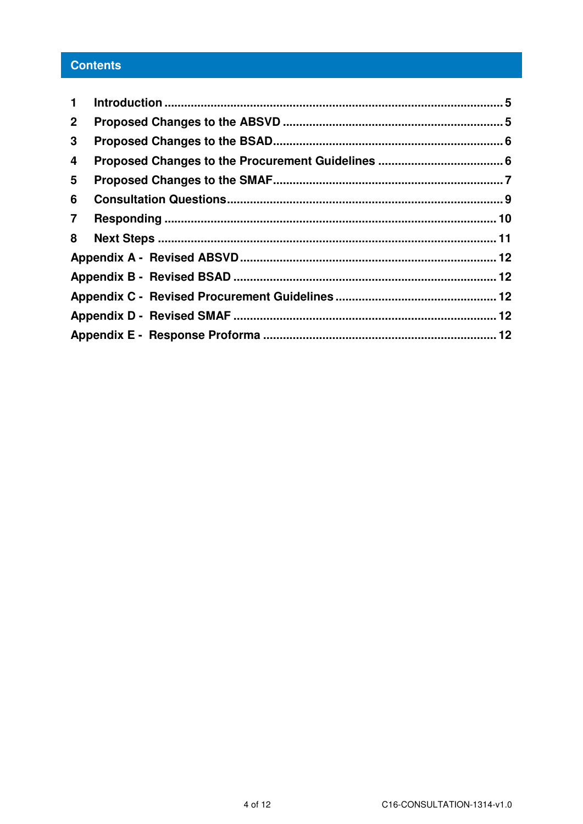# **Contents**

| $\mathbf 1$    |  |
|----------------|--|
| $\mathbf{2}$   |  |
| 3              |  |
| 4              |  |
| 5              |  |
| 6              |  |
| $\overline{7}$ |  |
| 8              |  |
|                |  |
|                |  |
|                |  |
|                |  |
|                |  |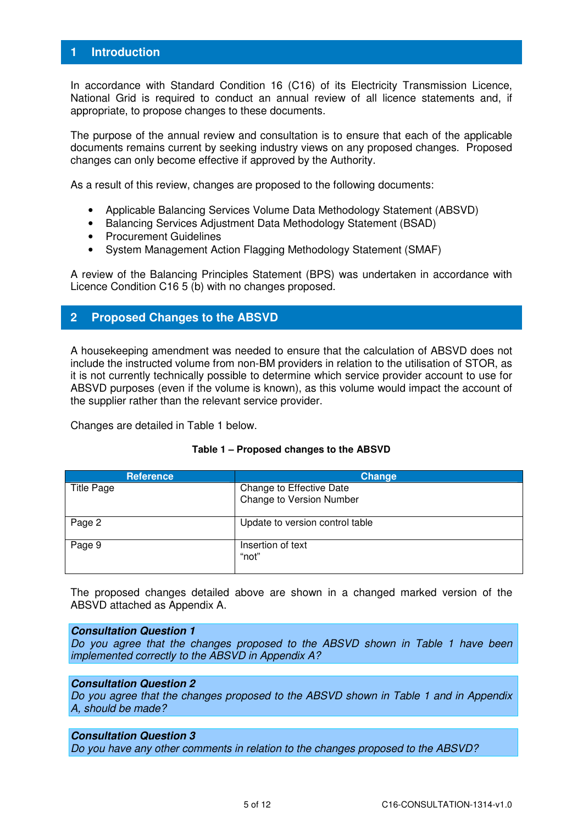# **1 Introduction**

In accordance with Standard Condition 16 (C16) of its Electricity Transmission Licence, National Grid is required to conduct an annual review of all licence statements and, if appropriate, to propose changes to these documents.

The purpose of the annual review and consultation is to ensure that each of the applicable documents remains current by seeking industry views on any proposed changes. Proposed changes can only become effective if approved by the Authority.

As a result of this review, changes are proposed to the following documents:

- Applicable Balancing Services Volume Data Methodology Statement (ABSVD)
- Balancing Services Adjustment Data Methodology Statement (BSAD)
- Procurement Guidelines
- System Management Action Flagging Methodology Statement (SMAF)

A review of the Balancing Principles Statement (BPS) was undertaken in accordance with Licence Condition C16 5 (b) with no changes proposed.

# **2 Proposed Changes to the ABSVD**

A housekeeping amendment was needed to ensure that the calculation of ABSVD does not include the instructed volume from non-BM providers in relation to the utilisation of STOR, as it is not currently technically possible to determine which service provider account to use for ABSVD purposes (even if the volume is known), as this volume would impact the account of the supplier rather than the relevant service provider.

Changes are detailed in Table 1 below.

| Table 1 - Proposed changes to the ABSVD |  |  |
|-----------------------------------------|--|--|
|                                         |  |  |

| <b>Reference</b> | Change                                               |
|------------------|------------------------------------------------------|
| Title Page       | Change to Effective Date<br>Change to Version Number |
| Page 2           | Update to version control table                      |
| Page 9           | Insertion of text<br>"not"                           |

The proposed changes detailed above are shown in a changed marked version of the ABSVD attached as Appendix A.

#### **Consultation Question 1**

Do you agree that the changes proposed to the ABSVD shown in Table 1 have been implemented correctly to the ABSVD in Appendix A?

#### **Consultation Question 2**

Do you agree that the changes proposed to the ABSVD shown in Table 1 and in Appendix A, should be made?

# **Consultation Question 3**

Do you have any other comments in relation to the changes proposed to the ABSVD?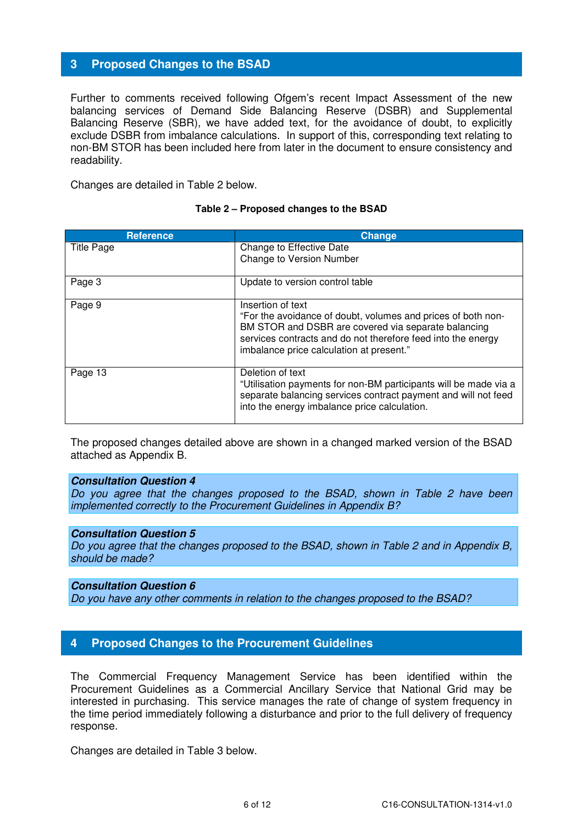# **3 Proposed Changes to the BSAD**

Further to comments received following Ofgem's recent Impact Assessment of the new balancing services of Demand Side Balancing Reserve (DSBR) and Supplemental Balancing Reserve (SBR), we have added text, for the avoidance of doubt, to explicitly exclude DSBR from imbalance calculations. In support of this, corresponding text relating to non-BM STOR has been included here from later in the document to ensure consistency and readability.

Changes are detailed in Table 2 below.

# **Reference Change Change** Title Page Change to Effective Date Change to Version Number Page 3 and 1 Update to version control table Page 9 **Insertion of text** "For the avoidance of doubt, volumes and prices of both non-BM STOR and DSBR are covered via separate balancing services contracts and do not therefore feed into the energy imbalance price calculation at present." Page 13 Deletion of text "Utilisation payments for non-BM participants will be made via a separate balancing services contract payment and will not feed into the energy imbalance price calculation.

#### **Table 2 – Proposed changes to the BSAD**

The proposed changes detailed above are shown in a changed marked version of the BSAD attached as Appendix B.

#### **Consultation Question 4**

Do you agree that the changes proposed to the BSAD, shown in Table 2 have been implemented correctly to the Procurement Guidelines in Appendix B?

#### **Consultation Question 5**

Do you agree that the changes proposed to the BSAD, shown in Table 2 and in Appendix B, should be made?

#### **Consultation Question 6**

Do you have any other comments in relation to the changes proposed to the BSAD?

# **4 Proposed Changes to the Procurement Guidelines**

The Commercial Frequency Management Service has been identified within the Procurement Guidelines as a Commercial Ancillary Service that National Grid may be interested in purchasing. This service manages the rate of change of system frequency in the time period immediately following a disturbance and prior to the full delivery of frequency response.

Changes are detailed in Table 3 below.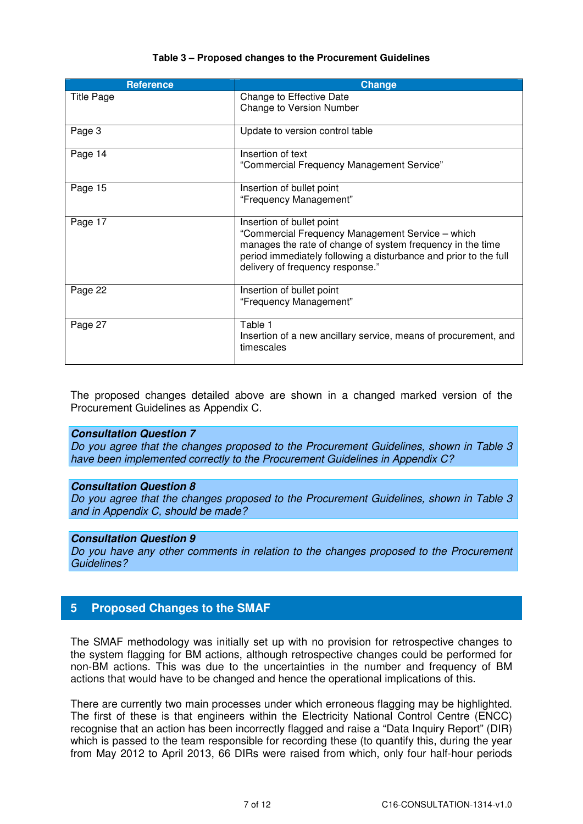| <b>Reference</b>  | <b>Change</b>                                                                                                                                                                                                                                       |
|-------------------|-----------------------------------------------------------------------------------------------------------------------------------------------------------------------------------------------------------------------------------------------------|
| <b>Title Page</b> | Change to Effective Date<br><b>Change to Version Number</b>                                                                                                                                                                                         |
| Page 3            | Update to version control table                                                                                                                                                                                                                     |
| Page 14           | Insertion of text<br>"Commercial Frequency Management Service"                                                                                                                                                                                      |
| Page 15           | Insertion of bullet point<br>"Frequency Management"                                                                                                                                                                                                 |
| Page 17           | Insertion of bullet point<br>"Commercial Frequency Management Service - which<br>manages the rate of change of system frequency in the time<br>period immediately following a disturbance and prior to the full<br>delivery of frequency response." |
| Page 22           | Insertion of bullet point<br>"Frequency Management"                                                                                                                                                                                                 |
| Page 27           | Table 1<br>Insertion of a new ancillary service, means of procurement, and<br>timescales                                                                                                                                                            |

# **Table 3 – Proposed changes to the Procurement Guidelines**

The proposed changes detailed above are shown in a changed marked version of the Procurement Guidelines as Appendix C.

#### **Consultation Question 7**

Do you agree that the changes proposed to the Procurement Guidelines, shown in Table 3 have been implemented correctly to the Procurement Guidelines in Appendix C?

#### **Consultation Question 8**

Do you agree that the changes proposed to the Procurement Guidelines, shown in Table 3 and in Appendix C, should be made?

#### **Consultation Question 9**

Do you have any other comments in relation to the changes proposed to the Procurement Guidelines?

# **5 Proposed Changes to the SMAF**

The SMAF methodology was initially set up with no provision for retrospective changes to the system flagging for BM actions, although retrospective changes could be performed for non-BM actions. This was due to the uncertainties in the number and frequency of BM actions that would have to be changed and hence the operational implications of this.

There are currently two main processes under which erroneous flagging may be highlighted. The first of these is that engineers within the Electricity National Control Centre (ENCC) recognise that an action has been incorrectly flagged and raise a "Data Inquiry Report" (DIR) which is passed to the team responsible for recording these (to quantify this, during the year from May 2012 to April 2013, 66 DIRs were raised from which, only four half-hour periods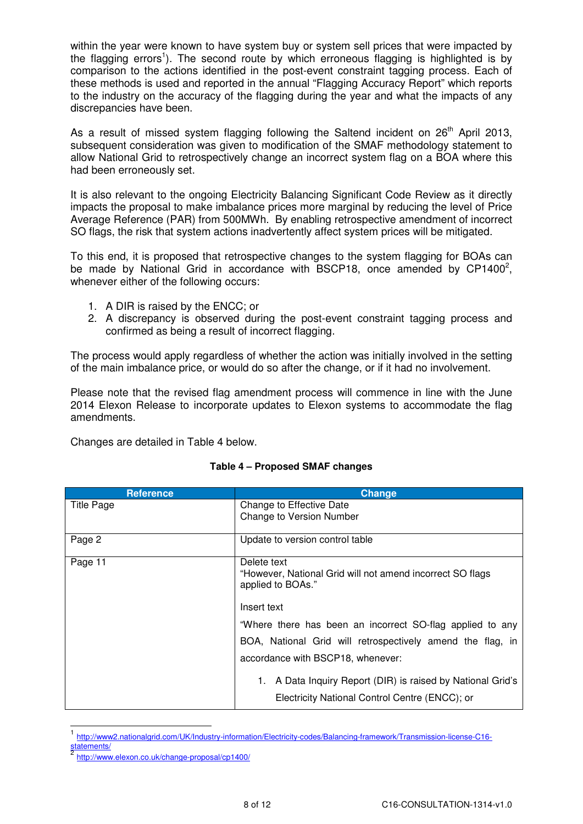within the year were known to have system buy or system sell prices that were impacted by the flagging errors<sup>1</sup>). The second route by which erroneous flagging is highlighted is by comparison to the actions identified in the post-event constraint tagging process. Each of these methods is used and reported in the annual "Flagging Accuracy Report" which reports to the industry on the accuracy of the flagging during the year and what the impacts of any discrepancies have been.

As a result of missed system flagging following the Saltend incident on  $26<sup>th</sup>$  April 2013, subsequent consideration was given to modification of the SMAF methodology statement to allow National Grid to retrospectively change an incorrect system flag on a BOA where this had been erroneously set.

It is also relevant to the ongoing Electricity Balancing Significant Code Review as it directly impacts the proposal to make imbalance prices more marginal by reducing the level of Price Average Reference (PAR) from 500MWh. By enabling retrospective amendment of incorrect SO flags, the risk that system actions inadvertently affect system prices will be mitigated.

To this end, it is proposed that retrospective changes to the system flagging for BOAs can be made by National Grid in accordance with BSCP18, once amended by CP1400 $^2$ , whenever either of the following occurs:

- 1. A DIR is raised by the ENCC; or
- 2. A discrepancy is observed during the post-event constraint tagging process and confirmed as being a result of incorrect flagging.

The process would apply regardless of whether the action was initially involved in the setting of the main imbalance price, or would do so after the change, or if it had no involvement.

Please note that the revised flag amendment process will commence in line with the June 2014 Elexon Release to incorporate updates to Elexon systems to accommodate the flag amendments.

Changes are detailed in Table 4 below.

| <b>Reference</b>  | <b>Change</b>                                                                  |
|-------------------|--------------------------------------------------------------------------------|
| <b>Title Page</b> | Change to Effective Date                                                       |
|                   | Change to Version Number                                                       |
| Page 2            | Update to version control table                                                |
| Page 11           | Delete text                                                                    |
|                   | "However, National Grid will not amend incorrect SO flags<br>applied to BOAs." |
|                   | Insert text                                                                    |
|                   | "Where there has been an incorrect SO-flag applied to any                      |
|                   | BOA, National Grid will retrospectively amend the flag, in                     |
|                   | accordance with BSCP18, whenever:                                              |
|                   | A Data Inquiry Report (DIR) is raised by National Grid's                       |
|                   | Electricity National Control Centre (ENCC); or                                 |

#### **Table 4 – Proposed SMAF changes**

 $\overline{\phantom{a}}$ 

<sup>1</sup> http://www2.nationalgrid.com/UK/Industry-information/Electricity-codes/Balancing-framework/Transmission-license-C16 tatements/

<sup>2</sup> http://www.elexon.co.uk/change-proposal/cp1400/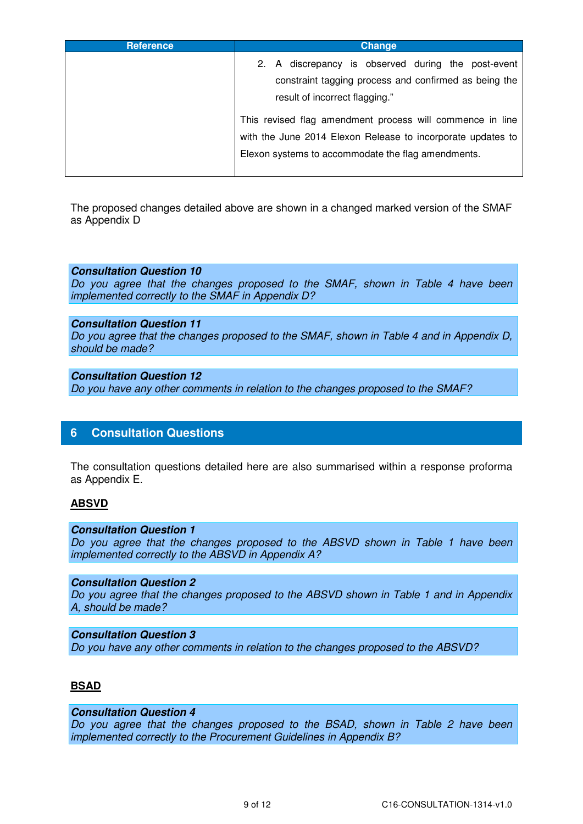| <b>Reference</b> | Change                                                                                                                                                                         |
|------------------|--------------------------------------------------------------------------------------------------------------------------------------------------------------------------------|
|                  | A discrepancy is observed during the post-event<br>2.<br>constraint tagging process and confirmed as being the<br>result of incorrect flagging."                               |
|                  | This revised flag amendment process will commence in line<br>with the June 2014 Elexon Release to incorporate updates to<br>Elexon systems to accommodate the flag amendments. |

The proposed changes detailed above are shown in a changed marked version of the SMAF as Appendix D

#### **Consultation Question 10**

Do you agree that the changes proposed to the SMAF, shown in Table 4 have been implemented correctly to the SMAF in Appendix D?

#### **Consultation Question 11**

Do you agree that the changes proposed to the SMAF, shown in Table 4 and in Appendix D, should be made?

#### **Consultation Question 12**

Do you have any other comments in relation to the changes proposed to the SMAF?

# **6 Consultation Questions**

The consultation questions detailed here are also summarised within a response proforma as Appendix E.

#### **ABSVD**

#### **Consultation Question 1**

Do you agree that the changes proposed to the ABSVD shown in Table 1 have been implemented correctly to the ABSVD in Appendix A?

#### **Consultation Question 2**

Do you agree that the changes proposed to the ABSVD shown in Table 1 and in Appendix A, should be made?

# **Consultation Question 3**

Do you have any other comments in relation to the changes proposed to the ABSVD?

# **BSAD**

# **Consultation Question 4**

Do you agree that the changes proposed to the BSAD, shown in Table 2 have been implemented correctly to the Procurement Guidelines in Appendix B?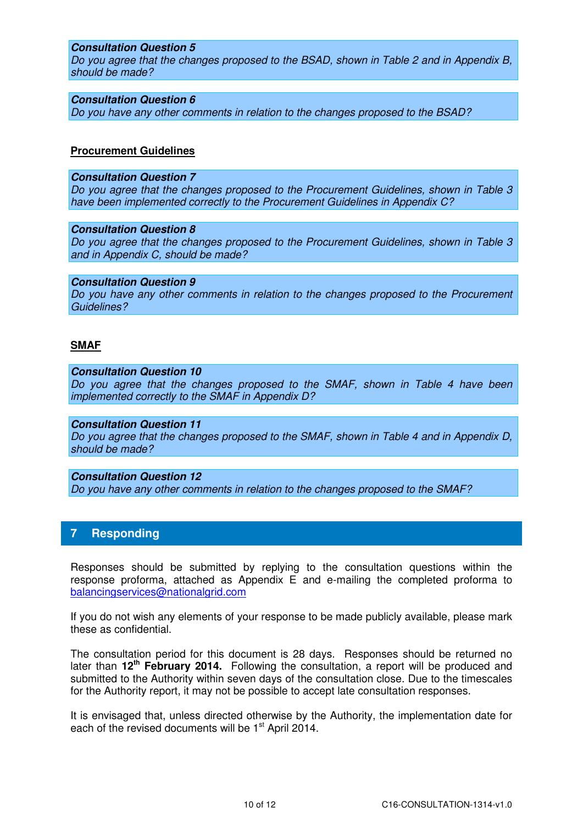#### **Consultation Question 5**

Do you agree that the changes proposed to the BSAD, shown in Table 2 and in Appendix B, should be made?

#### **Consultation Question 6**

Do you have any other comments in relation to the changes proposed to the BSAD?

#### **Procurement Guidelines**

#### **Consultation Question 7**

Do you agree that the changes proposed to the Procurement Guidelines, shown in Table 3 have been implemented correctly to the Procurement Guidelines in Appendix C?

#### **Consultation Question 8**

Do you agree that the changes proposed to the Procurement Guidelines, shown in Table 3 and in Appendix C, should be made?

#### **Consultation Question 9**

Do you have any other comments in relation to the changes proposed to the Procurement Guidelines?

#### **SMAF**

#### **Consultation Question 10**

Do you agree that the changes proposed to the SMAF, shown in Table 4 have been implemented correctly to the SMAF in Appendix D?

#### **Consultation Question 11**

Do you agree that the changes proposed to the SMAF, shown in Table 4 and in Appendix D, should be made?

**Consultation Question 12**  Do you have any other comments in relation to the changes proposed to the SMAF?

# **7 Responding**

Responses should be submitted by replying to the consultation questions within the response proforma, attached as Appendix E and e-mailing the completed proforma to balancingservices@nationalgrid.com

If you do not wish any elements of your response to be made publicly available, please mark these as confidential.

The consultation period for this document is 28 days. Responses should be returned no later than **12th February 2014.** Following the consultation, a report will be produced and submitted to the Authority within seven days of the consultation close. Due to the timescales for the Authority report, it may not be possible to accept late consultation responses.

It is envisaged that, unless directed otherwise by the Authority, the implementation date for each of the revised documents will be 1<sup>st</sup> April 2014.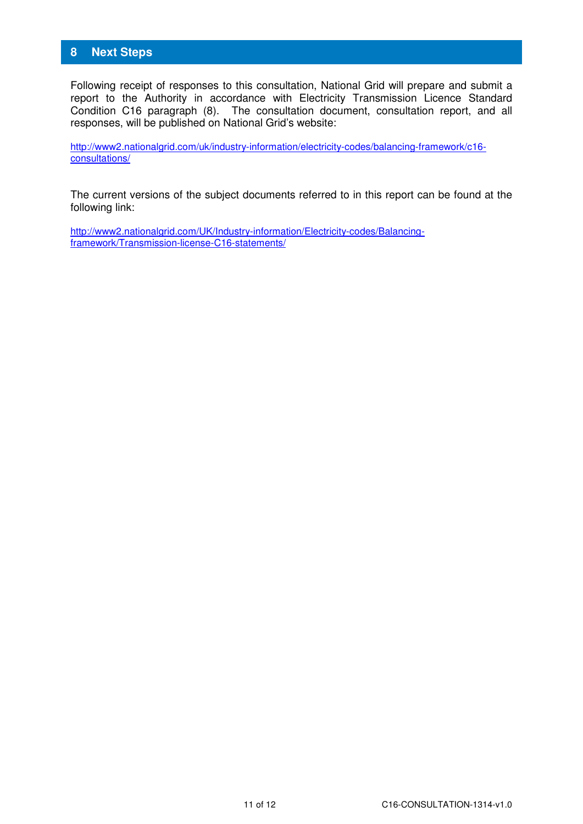# **8 Next Steps**

Following receipt of responses to this consultation, National Grid will prepare and submit a report to the Authority in accordance with Electricity Transmission Licence Standard Condition C16 paragraph (8). The consultation document, consultation report, and all responses, will be published on National Grid's website:

http://www2.nationalgrid.com/uk/industry-information/electricity-codes/balancing-framework/c16 consultations/

The current versions of the subject documents referred to in this report can be found at the following link:

http://www2.nationalgrid.com/UK/Industry-information/Electricity-codes/Balancingframework/Transmission-license-C16-statements/